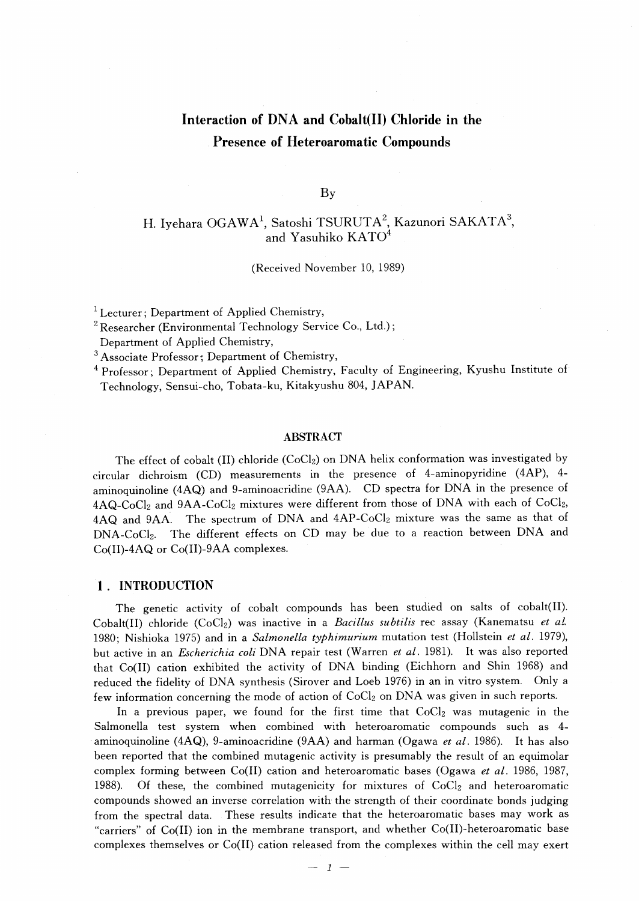# Interaction of DNA and Cobalt(II) Chloride in the Presence of Heteroaromatic Compounds

By

# H. Iyehara OGAWA<sup>1</sup>, Satoshi TSURUTA<sup>2</sup>, Kazunori SAKATA<sup>3</sup>, and Yasuhik

(Received November 10, 1989)

 $<sup>1</sup>$  Lecturer : Department of Applied Chemistry,</sup>

 $2$  Researcher (Environmental Technology Service Co., Ltd.);

Department of Applied Chemistry,

<sup>3</sup> Associate Professor; Department of Chemistry,

<sup>4</sup> Professor; Department of Applied Chemistry, Faculty of Engineering, Kyushu Institute of Technology, Sensui-cho, Tobata-ku, Kitakyushu 804, JAPAN.

#### ABSTRACT

The effect of cobalt (II) chloride (CoCl<sub>2</sub>) on DNA helix conformation was investigated by circular dichroism (CD) measurements in the presence of 4-aminopyridine (4AP), 4 aminoquinoline (4AQ) and 9-aminoacridine (9AA). CD spectra for DNA in the presence of 4AQ-CoC12 and 9AA-CoC12 mixtures were different from those of DNA with each of CoC12, 4AQ and 9AA. The spectrum of DNA and 4AP-CoCl<sub>2</sub> mixture was the same as that of DNA-CoC12. The different effects on CD may be due to a reaction between DNA and Co(II)-4AQ or Co(II)-9AA complexes.

#### 1. INTRODUCTION

 The genetic activity of cobalt compounds has been studied on salts of cobalt(II). Cobalt(II) chloride (CoCl<sub>2</sub>) was inactive in a Bacillus subtilis rec assay (Kanematsu et al. 1980; Nishioka 1975) and in a Salmonella typhimurium mutation test (Hollstein et al. 1979), but active in an *Escherichia coli* DNA repair test (Warren et al. 1981). It was also reported that Co(II) cation exhibited the activity of DNA binding (Eichhorn and Shin 1968) and reduced the fidelity of DNA synthesis (Sirover and Loeb 1976) in an in vitro system. Only a few information concerning the mode of action of  $CoCl<sub>2</sub>$  on DNA was given in such reports.

In a previous paper, we found for the first time that  $CoCl<sub>2</sub>$  was mutagenic in the Salmonella test system when combined with heteroaromatic compounds such as 4 aminoquinoline  $(4AQ)$ , 9-aminoacridine  $(9AA)$  and harman  $(Ogawa et al. 1986)$ . It has also been reported that the combined mutagenic activity is presumably the result of an equimolar complex forming between Co(II) cation and heteroaromatic bases (Ogawa et al. 1986, 1987, 1988). Of these, the combined mutagenicity for mixtures of  $CoCl<sub>2</sub>$  and heteroaromatic compounds showed an inverse correlation with the strength of their coordinate bonds judging from the spectral data. These results indicate that the heteroaromatic bases may work as "carriers" of Co(II) ion in the membrane transport, and whether Co(II)-heteroaromatic base complexes themselves or Co(II) cation released from the complexes within the cell may exert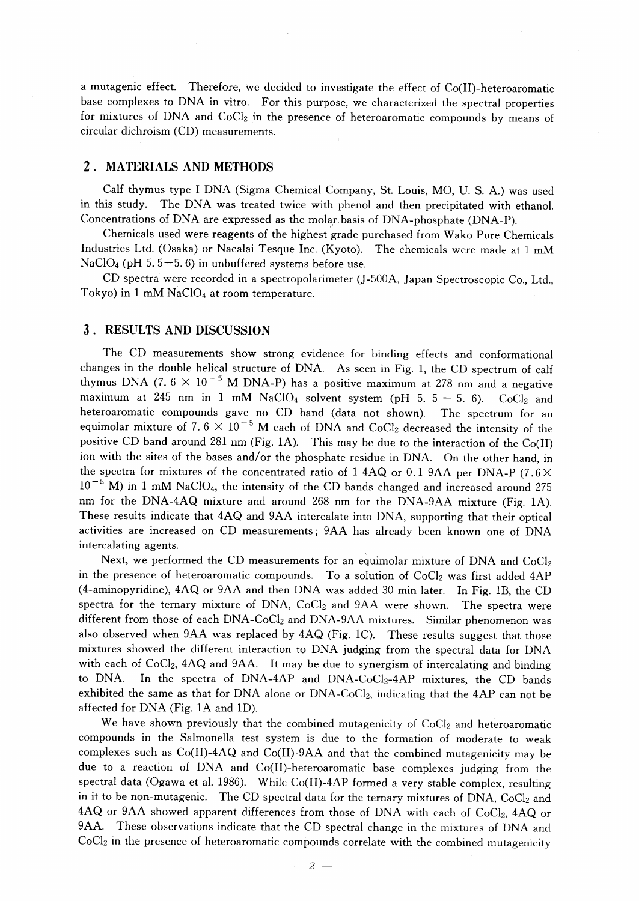a mutagenic effect. Therefore, we decided to investigate the effect of Co(II)-heteroaromatic base complexes to DNA in vitro. For this purpose, we characterized the spectral properties for mixtures of DNA and CoC12 in the presence of heteroaromatic compounds by means of circular dichroism (CD) measurements.

# 2 . MATERIALS AND METHODS

 Calf thymus type I DNA (Sigma Chemical Company, St. Louis, MO, U. S. A.) was used in this study. The DNA was treated twice with phenol and then precipitated with ethanol. Concentrations of DNA are expressed as the molar basis of DNA-phosphate (DNA-P).

 Chemicals used were reagents of the highest grade purchased from Wako Pure Chemicals Industries Ltd. (Osaka) or Nacalai Tesque Inc. (Kyoto). The chemicals were made at 1 mM NaClO<sub>4</sub> (pH 5.5-5.6) in unbuffered systems before use.

 CD spectra were recorded in a spectropolarimeter (J-500A, Japan Spectroscopic Co., Ltd., Tokyo) in 1 mM NaClO<sub>4</sub> at room temperature.

## 3 . RESULTS AND DISCUSSION

 The CD measurements show strong evidence for binding effects and conformational changes in the double helical structure of DNA. As seen in Fig. 1, the CD spectrum of calf thymus DNA (7.  $6 \times 10^{-5}$  M DNA-P) has a positive maximum at 278 nm and a negative maximum at 245 nm in 1 mM NaClO<sub>4</sub> solvent system (pH 5,  $5-5$ , 6). CoCl<sub>2</sub> and heteroaromatic compounds gave no CD band (data not shown). The spectrum for an equimolar mixture of 7.  $6 \times 10^{-5}$  M each of DNA and CoCl<sub>2</sub> decreased the intensity of the positive CD band around 281 nm (Fig. 1A). This may be due to the interaction of the Co(II) ion with the sites of the bases and/or the phosphate residue in DNA. On the other hand, in the spectra for mixtures of the concentrated ratio of 1 4AQ or 0.1 9AA per DNA-P (7.6 $\times$  $10^{-5}$  M) in 1 mM NaClO<sub>4</sub>, the intensity of the CD bands changed and increased around 275 nm for the DNA-4AQ mixture and around 268 nm for the DNA-9AA mixture (Fig. IA). These results indicate that 4AQ and 9AA intercalate into DNA, supporting that their optical activities are increased on CD measurements; 9AA has already been known one of DNA intercalating agents.

Next, we performed the CD measurements for an equimolar mixture of DNA and CoCl<sub>2</sub> in the presence of heteroaromatic compounds. To a solution of  $CoCl<sub>2</sub>$  was first added 4AP (4--aminopyridine), 4AQ or 9AA and then DNA was added 30 min later. In Fig. IB, the CD spectra for the ternary mixture of DNA,  $CoCl<sub>2</sub>$  and  $9AA$  were shown. The spectra were different from those of each DNA-CoCl<sub>2</sub> and DNA-9AA mixtures. Similar phenomenon was also observed when  $9AA$  was replaced by  $4AQ$  (Fig. 1C). These results suggest that those mixtures showed the different interaction to DNA judging from the spectral data for DNA with each of CoCl<sub>2</sub>, 4AQ and 9AA. It may be due to synergism of intercalating and binding to DNA. In the spectra of DNA-4AP and DNA-CoCl<sub>2</sub>-4AP mixtures, the CD bands exhibited the same as that for DNA alone or DNA-CoCl<sub>2</sub>, indicating that the 4AP can not be affected for DNA (Fig. IA and ID).

We have shown previously that the combined mutagenicity of CoCl<sub>2</sub> and heteroaromatic compounds in the Salmonella test system is due to the formation of moderate to weak complexes such as  $Co(II)-4AQ$  and  $Co(II)-9AA$  and that the combined mutagenicity may be due to a reaction of DNA and Co(II)-heteroaromatic base complexes judging from the spectral data (Ogawa et al. 1986). While Co(II)-4AP formed a very stable complex, resulting in it to be non-mutagenic. The CD spectral data for the ternary mixtures of DNA, CoCl2 and 4AQ or 9AA showed apparent differences from those of DNA with each of CoCl<sub>2</sub>, 4AQ or 9AA. These observations indicate that the CD spectral change in the mixtures of DNA and CoCl<sub>2</sub> in the presence of heteroaromatic compounds correlate with the combined mutagenicity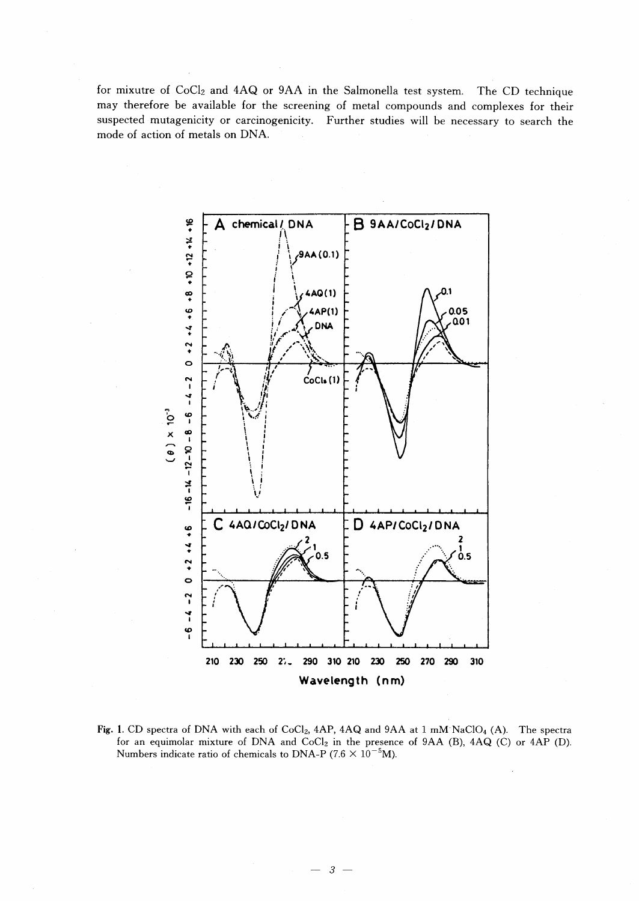for mixutre of CoCl<sub>2</sub> and 4AQ or 9AA in the Salmonella test system. The CD technique may therefore be available for the screening of metal compounds and complexes for their suspected mutagenicity or carcinogenicity. Further studies will be necessary to search the mode of action of metals on DNA.



Fig. 1. CD spectra of DNA with each of CoCl<sub>2</sub>, 4AP, 4AQ and 9AA at 1 mM NaClO<sub>4</sub> (A). The spectra for an equimolar mixture of DNA and CoCl<sub>2</sub> in the presence of 9AA (B), 4AQ (C) or 4AP (D). Numbers indicate ratio of chemicals to DNA-P (7.6  $\times$  10<sup>-5</sup>M).